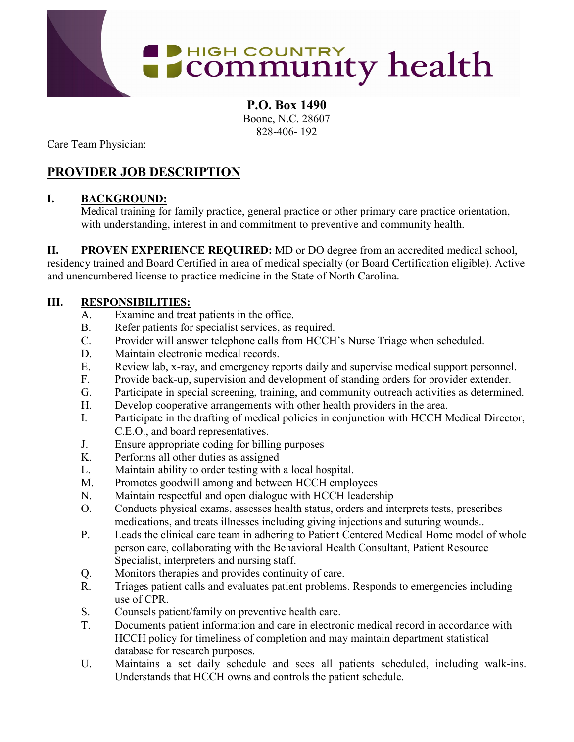

**P.O. Box 1490** Boone, N.C. 28607 828-406- 192

Care Team Physician:

# **PROVIDER JOB DESCRIPTION**

## **I. BACKGROUND:**

Medical training for family practice, general practice or other primary care practice orientation, with understanding, interest in and commitment to preventive and community health.

**II. PROVEN EXPERIENCE REQUIRED:** MD or DO degree from an accredited medical school, residency trained and Board Certified in area of medical specialty (or Board Certification eligible). Active and unencumbered license to practice medicine in the State of North Carolina.

## **III. RESPONSIBILITIES:**

- A. Examine and treat patients in the office.
- B. Refer patients for specialist services, as required.
- C. Provider will answer telephone calls from HCCH's Nurse Triage when scheduled.
- D. Maintain electronic medical records.
- E. Review lab, x-ray, and emergency reports daily and supervise medical support personnel.
- F. Provide back-up, supervision and development of standing orders for provider extender.
- G. Participate in special screening, training, and community outreach activities as determined.
- H. Develop cooperative arrangements with other health providers in the area.
- I. Participate in the drafting of medical policies in conjunction with HCCH Medical Director, C.E.O., and board representatives.
- J. Ensure appropriate coding for billing purposes
- K. Performs all other duties as assigned
- L. Maintain ability to order testing with a local hospital.
- M. Promotes goodwill among and between HCCH employees
- N. Maintain respectful and open dialogue with HCCH leadership
- O. Conducts physical exams, assesses health status, orders and interprets tests, prescribes medications, and treats illnesses including giving injections and suturing wounds..
- P. Leads the clinical care team in adhering to Patient Centered Medical Home model of whole person care, collaborating with the Behavioral Health Consultant, Patient Resource Specialist, interpreters and nursing staff.
- Q. Monitors therapies and provides continuity of care.
- R. Triages patient calls and evaluates patient problems. Responds to emergencies including use of CPR.
- S. Counsels patient/family on preventive health care.
- T. Documents patient information and care in electronic medical record in accordance with HCCH policy for timeliness of completion and may maintain department statistical database for research purposes.
- U. Maintains a set daily schedule and sees all patients scheduled, including walk-ins. Understands that HCCH owns and controls the patient schedule.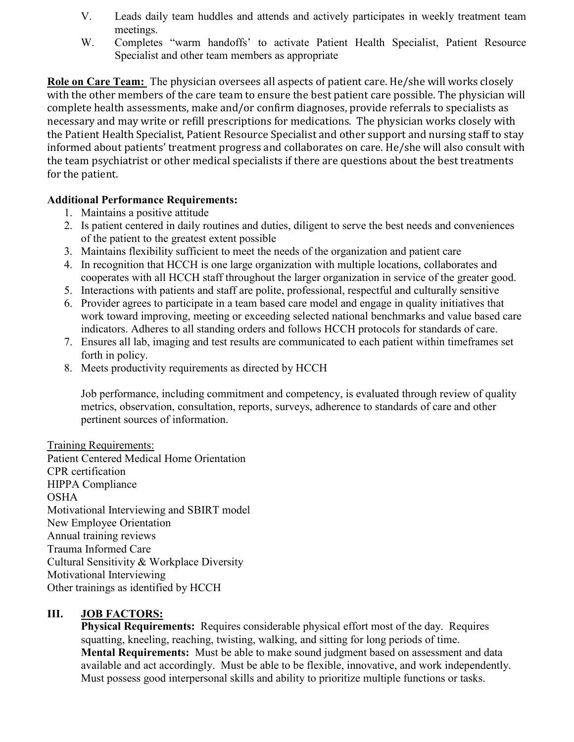- V. Leads daily team huddles and attends and actively participates in weekly treatment team meetings.
- W. Completes "warm handoffs" to activate Patient Health Specialist, Patient Resource Specialist and other team members as appropriate

**Role on Care Team:** The physician oversees all aspects of patient care. He/she will works closely with the other members of the care team to ensure the best patient care possible. The physician will complete health assessments, make and/or confirm diagnoses, provide referrals to specialists as necessary and may write or refill prescriptions for medications. The physician works closely with the Patient Health Specialist, Patient Resource Specialist and other support and nursing staff to stay informed about patients' treatment progress and collaborates on care. He/she will also consult with the team psychiatrist or other medical specialists if there are questions about the best treatments for the patient.

#### **Additional Performance Requirements:**

- 1. Maintains a positive attitude
- 2. Is patient centered in daily routines and duties, diligent to serve the best needs and conveniences of the patient to the greatest extent possible
- 3. Maintains flexibility sufficient to meet the needs of the organization and patient care
- 4. In recognition that HCCH is one large organization with multiple locations, collaborates and cooperates with all HCCH staff throughout the larger organization in service of the greater good.
- 5. Interactions with patients and staff are polite, professional, respectful and culturally sensitive
- 6. Provider agrees to participate in a team based care model and engage in quality initiatives that work toward improving, meeting or exceeding selected national benchmarks and value based care indicators. Adheres to all standing orders and follows HCCH protocols for standards of care.
- 7. Ensures all lab, imaging and test results are communicated to each patient within timeframes set forth in policy.
- 8. Meets productivity requirements as directed by HCCH

Job performance, including commitment and competency, is evaluated through review of quality metrics, observation, consultation, reports, surveys, adherence to standards of care and other pertinent sources of information.

Training Requirements: Patient Centered Medical Home Orientation CPR certification HIPPA Compliance OSHA Motivational Interviewing and SBIRT model New Employee Orientation Annual training reviews Trauma Informed Care Cultural Sensitivity & Workplace Diversity Motivational Interviewing Other trainings as identified by HCCH

### **III. JOB FACTORS:**

**Physical Requirements:** Requires considerable physical effort most of the day. Requires squatting, kneeling, reaching, twisting, walking, and sitting for long periods of time. **Mental Requirements:** Must be able to make sound judgment based on assessment and data available and act accordingly. Must be able to be flexible, innovative, and work independently. Must possess good interpersonal skills and ability to prioritize multiple functions or tasks.